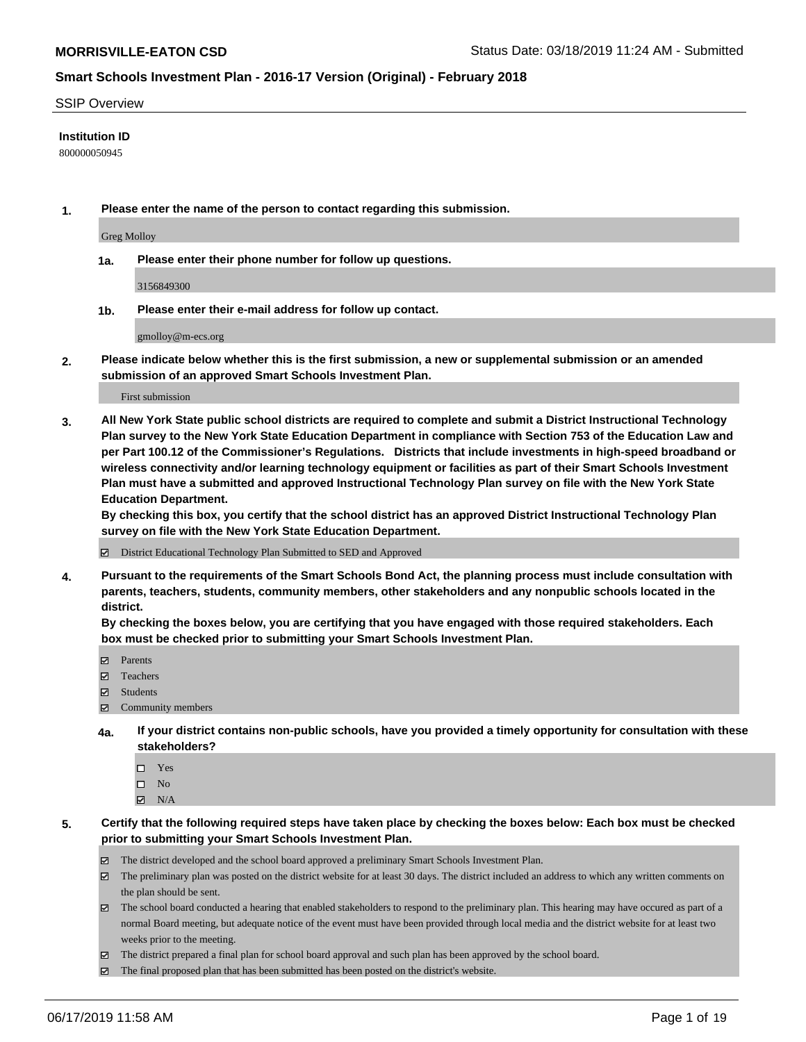#### SSIP Overview

#### **Institution ID**

800000050945

**1. Please enter the name of the person to contact regarding this submission.**

Greg Molloy

**1a. Please enter their phone number for follow up questions.**

3156849300

**1b. Please enter their e-mail address for follow up contact.**

gmolloy@m-ecs.org

**2. Please indicate below whether this is the first submission, a new or supplemental submission or an amended submission of an approved Smart Schools Investment Plan.**

First submission

**3. All New York State public school districts are required to complete and submit a District Instructional Technology Plan survey to the New York State Education Department in compliance with Section 753 of the Education Law and per Part 100.12 of the Commissioner's Regulations. Districts that include investments in high-speed broadband or wireless connectivity and/or learning technology equipment or facilities as part of their Smart Schools Investment Plan must have a submitted and approved Instructional Technology Plan survey on file with the New York State Education Department.** 

**By checking this box, you certify that the school district has an approved District Instructional Technology Plan survey on file with the New York State Education Department.**

District Educational Technology Plan Submitted to SED and Approved

**4. Pursuant to the requirements of the Smart Schools Bond Act, the planning process must include consultation with parents, teachers, students, community members, other stakeholders and any nonpublic schools located in the district.** 

**By checking the boxes below, you are certifying that you have engaged with those required stakeholders. Each box must be checked prior to submitting your Smart Schools Investment Plan.**

- Parents
- Teachers
- Students
- Community members
- **4a. If your district contains non-public schools, have you provided a timely opportunity for consultation with these stakeholders?**
	- □ Yes
	- $\square$  No
	- $N/A$
- **5. Certify that the following required steps have taken place by checking the boxes below: Each box must be checked prior to submitting your Smart Schools Investment Plan.**
	- The district developed and the school board approved a preliminary Smart Schools Investment Plan.
	- $\boxtimes$  The preliminary plan was posted on the district website for at least 30 days. The district included an address to which any written comments on the plan should be sent.
	- The school board conducted a hearing that enabled stakeholders to respond to the preliminary plan. This hearing may have occured as part of a normal Board meeting, but adequate notice of the event must have been provided through local media and the district website for at least two weeks prior to the meeting.
	- The district prepared a final plan for school board approval and such plan has been approved by the school board.
	- $\boxtimes$  The final proposed plan that has been submitted has been posted on the district's website.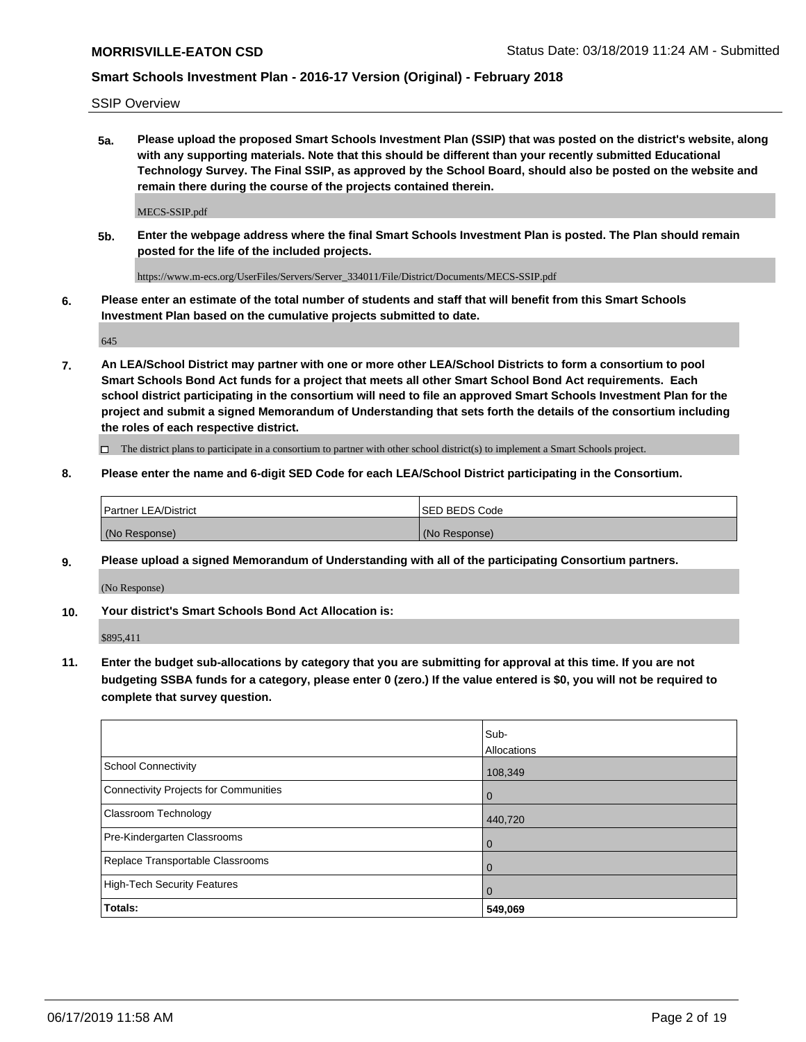SSIP Overview

**5a. Please upload the proposed Smart Schools Investment Plan (SSIP) that was posted on the district's website, along with any supporting materials. Note that this should be different than your recently submitted Educational Technology Survey. The Final SSIP, as approved by the School Board, should also be posted on the website and remain there during the course of the projects contained therein.**

MECS-SSIP.pdf

**5b. Enter the webpage address where the final Smart Schools Investment Plan is posted. The Plan should remain posted for the life of the included projects.**

https://www.m-ecs.org/UserFiles/Servers/Server\_334011/File/District/Documents/MECS-SSIP.pdf

**6. Please enter an estimate of the total number of students and staff that will benefit from this Smart Schools Investment Plan based on the cumulative projects submitted to date.**

645

**7. An LEA/School District may partner with one or more other LEA/School Districts to form a consortium to pool Smart Schools Bond Act funds for a project that meets all other Smart School Bond Act requirements. Each school district participating in the consortium will need to file an approved Smart Schools Investment Plan for the project and submit a signed Memorandum of Understanding that sets forth the details of the consortium including the roles of each respective district.**

 $\Box$  The district plans to participate in a consortium to partner with other school district(s) to implement a Smart Schools project.

### **8. Please enter the name and 6-digit SED Code for each LEA/School District participating in the Consortium.**

| Partner LEA/District | <b>ISED BEDS Code</b> |
|----------------------|-----------------------|
| (No Response)        | (No Response)         |

### **9. Please upload a signed Memorandum of Understanding with all of the participating Consortium partners.**

(No Response)

**10. Your district's Smart Schools Bond Act Allocation is:**

\$895,411

**11. Enter the budget sub-allocations by category that you are submitting for approval at this time. If you are not budgeting SSBA funds for a category, please enter 0 (zero.) If the value entered is \$0, you will not be required to complete that survey question.**

|                                       | Sub-<br><b>Allocations</b> |
|---------------------------------------|----------------------------|
| School Connectivity                   | 108,349                    |
| Connectivity Projects for Communities | $\overline{0}$             |
| <b>Classroom Technology</b>           | 440,720                    |
| Pre-Kindergarten Classrooms           | $\overline{0}$             |
| Replace Transportable Classrooms      | $\Omega$                   |
| High-Tech Security Features           | $\overline{0}$             |
| Totals:                               | 549,069                    |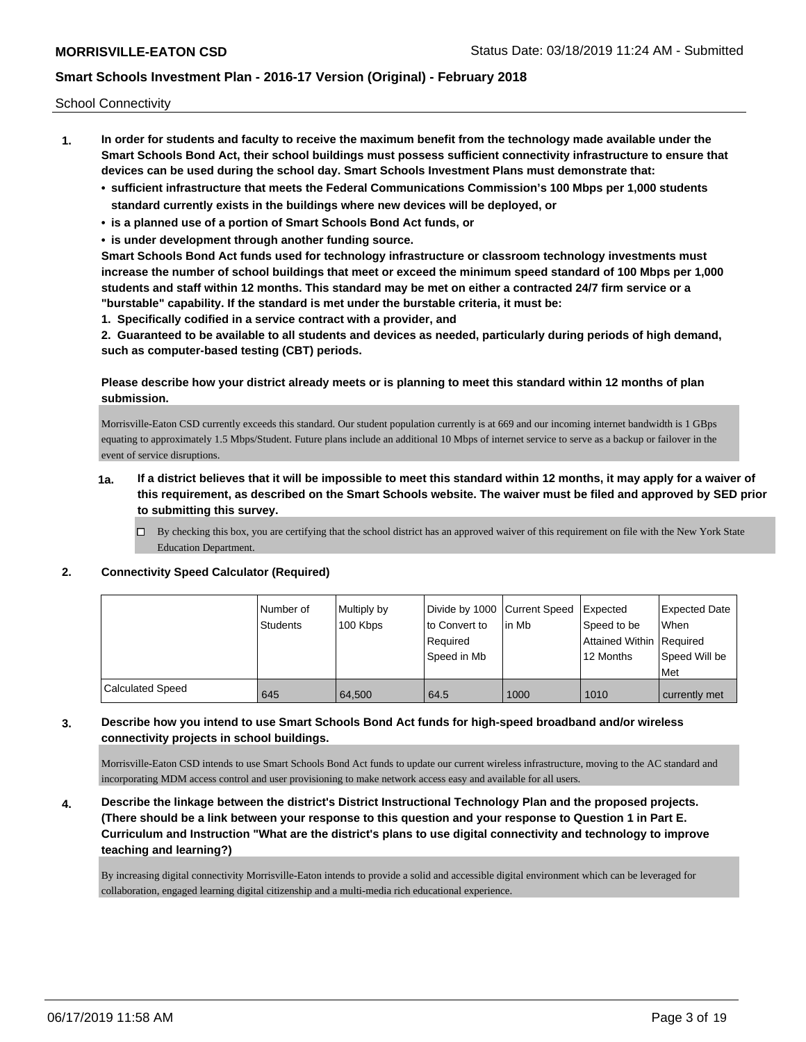School Connectivity

- **1. In order for students and faculty to receive the maximum benefit from the technology made available under the Smart Schools Bond Act, their school buildings must possess sufficient connectivity infrastructure to ensure that devices can be used during the school day. Smart Schools Investment Plans must demonstrate that:**
	- **• sufficient infrastructure that meets the Federal Communications Commission's 100 Mbps per 1,000 students standard currently exists in the buildings where new devices will be deployed, or**
	- **• is a planned use of a portion of Smart Schools Bond Act funds, or**
	- **• is under development through another funding source.**

**Smart Schools Bond Act funds used for technology infrastructure or classroom technology investments must increase the number of school buildings that meet or exceed the minimum speed standard of 100 Mbps per 1,000 students and staff within 12 months. This standard may be met on either a contracted 24/7 firm service or a "burstable" capability. If the standard is met under the burstable criteria, it must be:**

**1. Specifically codified in a service contract with a provider, and**

**2. Guaranteed to be available to all students and devices as needed, particularly during periods of high demand, such as computer-based testing (CBT) periods.**

### **Please describe how your district already meets or is planning to meet this standard within 12 months of plan submission.**

Morrisville-Eaton CSD currently exceeds this standard. Our student population currently is at 669 and our incoming internet bandwidth is 1 GBps equating to approximately 1.5 Mbps/Student. Future plans include an additional 10 Mbps of internet service to serve as a backup or failover in the event of service disruptions.

- **1a. If a district believes that it will be impossible to meet this standard within 12 months, it may apply for a waiver of this requirement, as described on the Smart Schools website. The waiver must be filed and approved by SED prior to submitting this survey.**
	- $\Box$  By checking this box, you are certifying that the school district has an approved waiver of this requirement on file with the New York State Education Department.

### **2. Connectivity Speed Calculator (Required)**

|                         | Number of<br><b>Students</b> | Multiply by<br>100 Kbps | Divide by 1000 Current Speed<br>to Convert to<br>Required<br>Speed in Mb | lin Mb | <b>I</b> Expected<br>Speed to be<br>Attained Within Required<br>12 Months | <b>Expected Date</b><br>When<br>Speed Will be<br>Met |
|-------------------------|------------------------------|-------------------------|--------------------------------------------------------------------------|--------|---------------------------------------------------------------------------|------------------------------------------------------|
| <b>Calculated Speed</b> | 645                          | 64,500                  | 64.5                                                                     | 1000   | 1010                                                                      | currently met                                        |

### **3. Describe how you intend to use Smart Schools Bond Act funds for high-speed broadband and/or wireless connectivity projects in school buildings.**

Morrisville-Eaton CSD intends to use Smart Schools Bond Act funds to update our current wireless infrastructure, moving to the AC standard and incorporating MDM access control and user provisioning to make network access easy and available for all users.

**4. Describe the linkage between the district's District Instructional Technology Plan and the proposed projects. (There should be a link between your response to this question and your response to Question 1 in Part E. Curriculum and Instruction "What are the district's plans to use digital connectivity and technology to improve teaching and learning?)**

By increasing digital connectivity Morrisville-Eaton intends to provide a solid and accessible digital environment which can be leveraged for collaboration, engaged learning digital citizenship and a multi-media rich educational experience.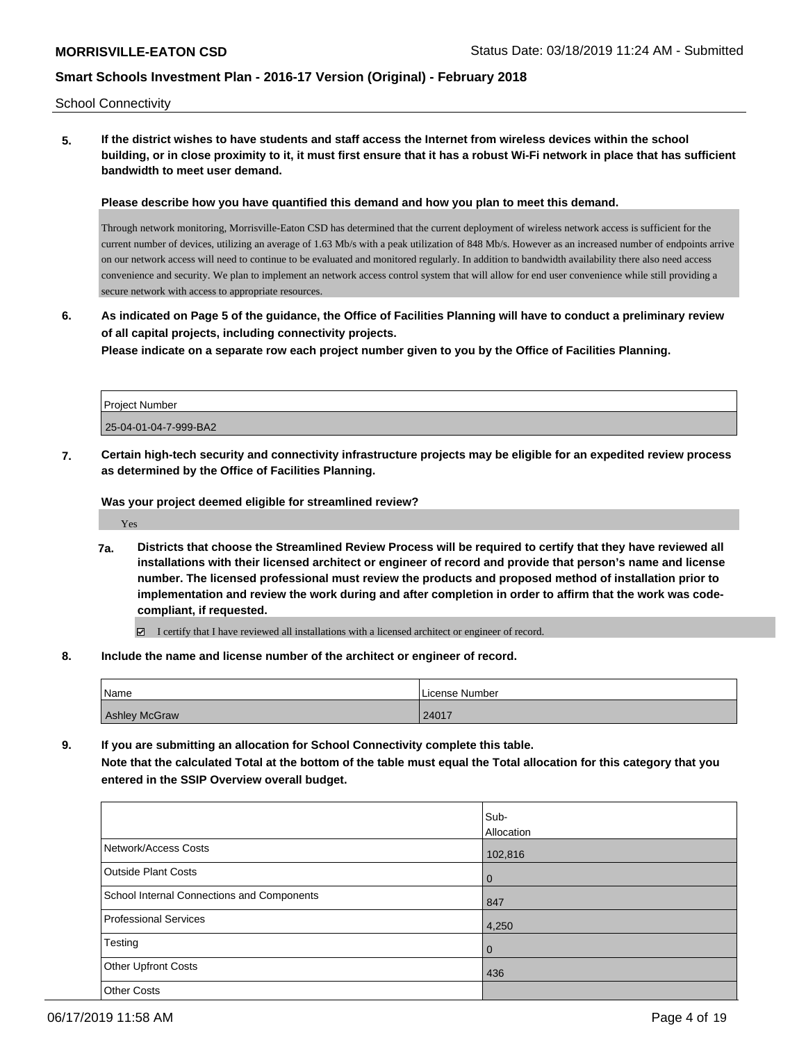School Connectivity

**5. If the district wishes to have students and staff access the Internet from wireless devices within the school building, or in close proximity to it, it must first ensure that it has a robust Wi-Fi network in place that has sufficient bandwidth to meet user demand.**

**Please describe how you have quantified this demand and how you plan to meet this demand.**

Through network monitoring, Morrisville-Eaton CSD has determined that the current deployment of wireless network access is sufficient for the current number of devices, utilizing an average of 1.63 Mb/s with a peak utilization of 848 Mb/s. However as an increased number of endpoints arrive on our network access will need to continue to be evaluated and monitored regularly. In addition to bandwidth availability there also need access convenience and security. We plan to implement an network access control system that will allow for end user convenience while still providing a secure network with access to appropriate resources.

**6. As indicated on Page 5 of the guidance, the Office of Facilities Planning will have to conduct a preliminary review of all capital projects, including connectivity projects.**

**Please indicate on a separate row each project number given to you by the Office of Facilities Planning.**

| <b>Project Number</b> |  |
|-----------------------|--|
| 25-04-01-04-7-999-BA2 |  |

**7. Certain high-tech security and connectivity infrastructure projects may be eligible for an expedited review process as determined by the Office of Facilities Planning.**

**Was your project deemed eligible for streamlined review?**

Yes

**7a. Districts that choose the Streamlined Review Process will be required to certify that they have reviewed all installations with their licensed architect or engineer of record and provide that person's name and license number. The licensed professional must review the products and proposed method of installation prior to implementation and review the work during and after completion in order to affirm that the work was codecompliant, if requested.**

I certify that I have reviewed all installations with a licensed architect or engineer of record.

**8. Include the name and license number of the architect or engineer of record.**

| Name                 | License Number |  |  |
|----------------------|----------------|--|--|
| <b>Ashley McGraw</b> | 24017          |  |  |

**9. If you are submitting an allocation for School Connectivity complete this table. Note that the calculated Total at the bottom of the table must equal the Total allocation for this category that you entered in the SSIP Overview overall budget.** 

|                                            | Sub-<br><b>Allocation</b> |
|--------------------------------------------|---------------------------|
| Network/Access Costs                       | 102,816                   |
| <b>Outside Plant Costs</b>                 | l 0                       |
| School Internal Connections and Components | 847                       |
| <b>Professional Services</b>               | 4,250                     |
| Testing                                    | $\overline{0}$            |
| <b>Other Upfront Costs</b>                 | 436                       |
| <b>Other Costs</b>                         |                           |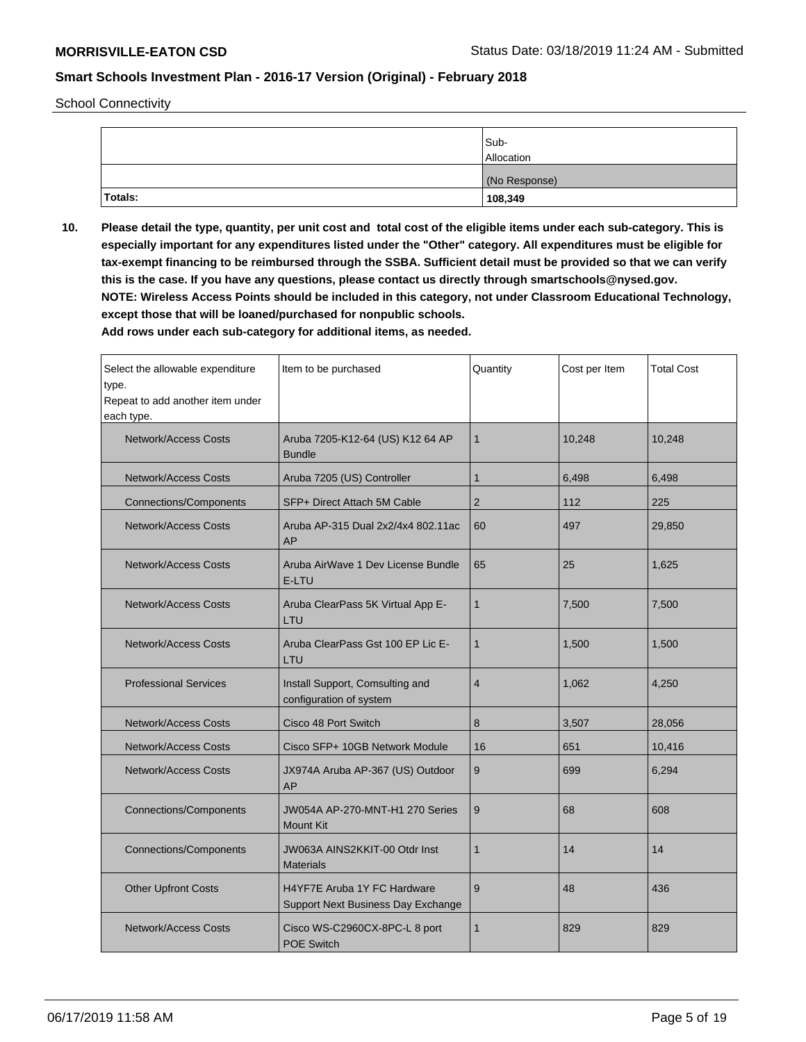School Connectivity

|         | Sub-<br>Allocation |
|---------|--------------------|
|         | (No Response)      |
| Totals: | 108,349            |

**10. Please detail the type, quantity, per unit cost and total cost of the eligible items under each sub-category. This is especially important for any expenditures listed under the "Other" category. All expenditures must be eligible for tax-exempt financing to be reimbursed through the SSBA. Sufficient detail must be provided so that we can verify this is the case. If you have any questions, please contact us directly through smartschools@nysed.gov. NOTE: Wireless Access Points should be included in this category, not under Classroom Educational Technology, except those that will be loaned/purchased for nonpublic schools.**

| Select the allowable expenditure<br>type.<br>Repeat to add another item under<br>each type. | Item to be purchased                                              | Quantity       | Cost per Item | <b>Total Cost</b> |
|---------------------------------------------------------------------------------------------|-------------------------------------------------------------------|----------------|---------------|-------------------|
| <b>Network/Access Costs</b>                                                                 | Aruba 7205-K12-64 (US) K12 64 AP<br><b>Bundle</b>                 | $\mathbf{1}$   | 10,248        | 10,248            |
| <b>Network/Access Costs</b>                                                                 | Aruba 7205 (US) Controller                                        | $\mathbf{1}$   | 6,498         | 6,498             |
| <b>Connections/Components</b>                                                               | SFP+ Direct Attach 5M Cable                                       | 2              | 112           | 225               |
| <b>Network/Access Costs</b>                                                                 | Aruba AP-315 Dual 2x2/4x4 802.11ac<br>AP                          | 60             | 497           | 29,850            |
| <b>Network/Access Costs</b>                                                                 | Aruba AirWave 1 Dev License Bundle<br>E-LTU                       | 65             | 25            | 1,625             |
| <b>Network/Access Costs</b>                                                                 | Aruba ClearPass 5K Virtual App E-<br>LTU                          | $\mathbf{1}$   | 7,500         | 7,500             |
| <b>Network/Access Costs</b>                                                                 | Aruba ClearPass Gst 100 EP Lic E-<br>LTU                          | $\mathbf{1}$   | 1,500         | 1,500             |
| <b>Professional Services</b>                                                                | Install Support, Comsulting and<br>configuration of system        | $\overline{4}$ | 1,062         | 4,250             |
| <b>Network/Access Costs</b>                                                                 | Cisco 48 Port Switch                                              | 8              | 3,507         | 28,056            |
| <b>Network/Access Costs</b>                                                                 | Cisco SFP+ 10GB Network Module                                    | 16             | 651           | 10,416            |
| <b>Network/Access Costs</b>                                                                 | JX974A Aruba AP-367 (US) Outdoor<br>AP                            | 9              | 699           | 6,294             |
| <b>Connections/Components</b>                                                               | JW054A AP-270-MNT-H1 270 Series<br><b>Mount Kit</b>               | 9              | 68            | 608               |
| <b>Connections/Components</b>                                                               | JW063A AINS2KKIT-00 Otdr Inst<br><b>Materials</b>                 | $\mathbf{1}$   | 14            | 14                |
| <b>Other Upfront Costs</b>                                                                  | H4YF7E Aruba 1Y FC Hardware<br>Support Next Business Day Exchange | 9              | 48            | 436               |
| <b>Network/Access Costs</b>                                                                 | Cisco WS-C2960CX-8PC-L 8 port<br><b>POE Switch</b>                | 1              | 829           | 829               |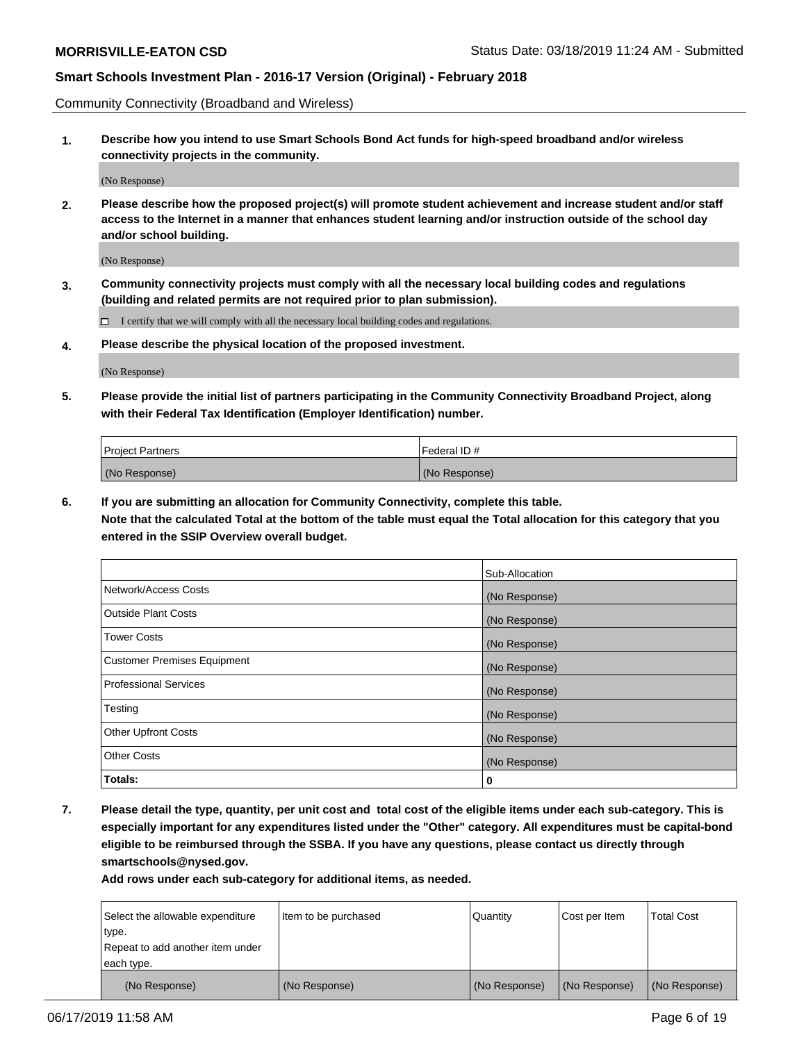Community Connectivity (Broadband and Wireless)

**1. Describe how you intend to use Smart Schools Bond Act funds for high-speed broadband and/or wireless connectivity projects in the community.**

(No Response)

**2. Please describe how the proposed project(s) will promote student achievement and increase student and/or staff access to the Internet in a manner that enhances student learning and/or instruction outside of the school day and/or school building.**

(No Response)

**3. Community connectivity projects must comply with all the necessary local building codes and regulations (building and related permits are not required prior to plan submission).**

 $\Box$  I certify that we will comply with all the necessary local building codes and regulations.

**4. Please describe the physical location of the proposed investment.**

(No Response)

**5. Please provide the initial list of partners participating in the Community Connectivity Broadband Project, along with their Federal Tax Identification (Employer Identification) number.**

| <b>Project Partners</b> | Federal ID#   |
|-------------------------|---------------|
| (No Response)           | (No Response) |

**6. If you are submitting an allocation for Community Connectivity, complete this table.**

**Note that the calculated Total at the bottom of the table must equal the Total allocation for this category that you entered in the SSIP Overview overall budget.**

|                             | Sub-Allocation |
|-----------------------------|----------------|
| Network/Access Costs        | (No Response)  |
| <b>Outside Plant Costs</b>  | (No Response)  |
| <b>Tower Costs</b>          | (No Response)  |
| Customer Premises Equipment | (No Response)  |
| Professional Services       | (No Response)  |
| Testing                     | (No Response)  |
| <b>Other Upfront Costs</b>  | (No Response)  |
| <b>Other Costs</b>          | (No Response)  |
| Totals:                     | 0              |

**7. Please detail the type, quantity, per unit cost and total cost of the eligible items under each sub-category. This is especially important for any expenditures listed under the "Other" category. All expenditures must be capital-bond eligible to be reimbursed through the SSBA. If you have any questions, please contact us directly through smartschools@nysed.gov.**

| Select the allowable expenditure | Item to be purchased | Quantity      | Cost per Item | <b>Total Cost</b> |
|----------------------------------|----------------------|---------------|---------------|-------------------|
| type.                            |                      |               |               |                   |
| Repeat to add another item under |                      |               |               |                   |
| each type.                       |                      |               |               |                   |
| (No Response)                    | (No Response)        | (No Response) | (No Response) | (No Response)     |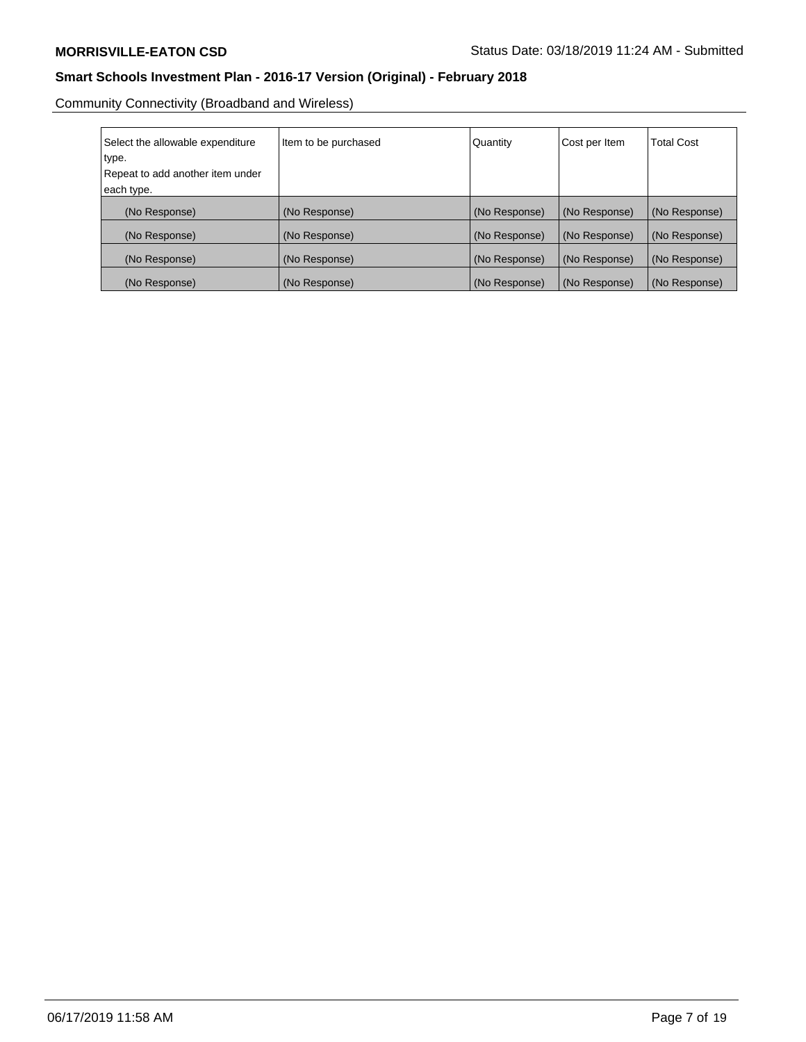Community Connectivity (Broadband and Wireless)

| Select the allowable expenditure<br>type.<br>Repeat to add another item under<br>each type. | Item to be purchased | Quantity      | Cost per Item | <b>Total Cost</b> |
|---------------------------------------------------------------------------------------------|----------------------|---------------|---------------|-------------------|
| (No Response)                                                                               | (No Response)        | (No Response) | (No Response) | (No Response)     |
| (No Response)                                                                               | (No Response)        | (No Response) | (No Response) | (No Response)     |
| (No Response)                                                                               | (No Response)        | (No Response) | (No Response) | (No Response)     |
| (No Response)                                                                               | (No Response)        | (No Response) | (No Response) | (No Response)     |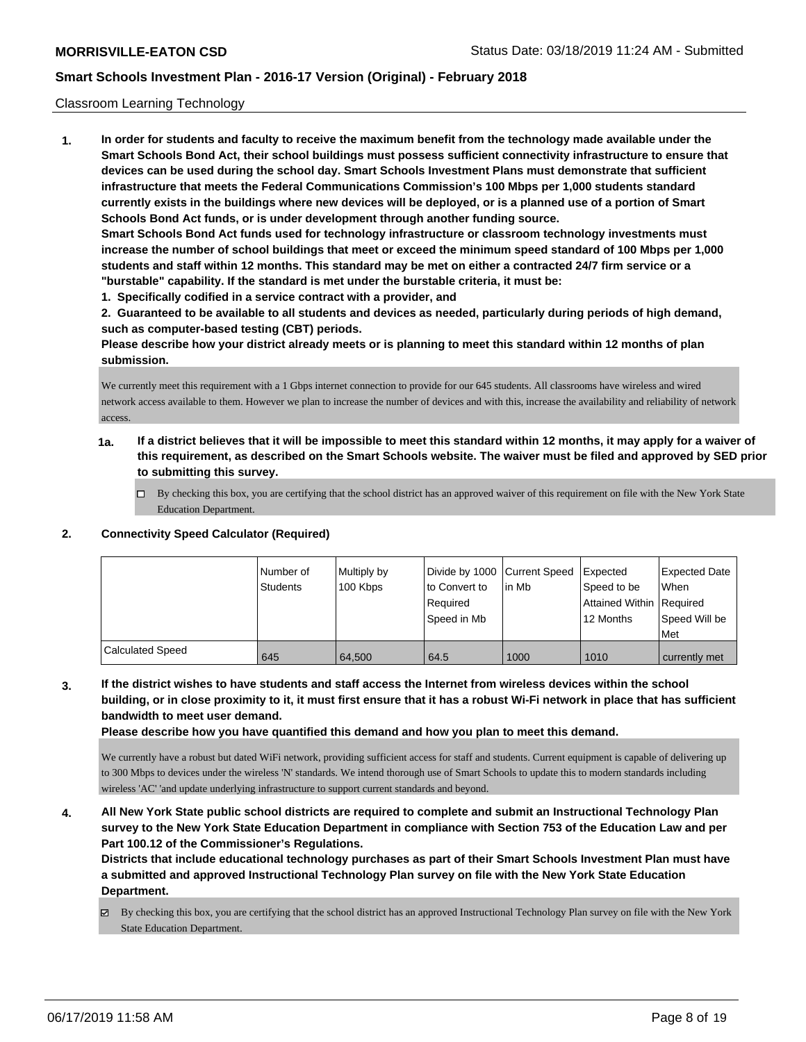### Classroom Learning Technology

**1. In order for students and faculty to receive the maximum benefit from the technology made available under the Smart Schools Bond Act, their school buildings must possess sufficient connectivity infrastructure to ensure that devices can be used during the school day. Smart Schools Investment Plans must demonstrate that sufficient infrastructure that meets the Federal Communications Commission's 100 Mbps per 1,000 students standard currently exists in the buildings where new devices will be deployed, or is a planned use of a portion of Smart Schools Bond Act funds, or is under development through another funding source. Smart Schools Bond Act funds used for technology infrastructure or classroom technology investments must increase the number of school buildings that meet or exceed the minimum speed standard of 100 Mbps per 1,000 students and staff within 12 months. This standard may be met on either a contracted 24/7 firm service or a "burstable" capability. If the standard is met under the burstable criteria, it must be:**

**1. Specifically codified in a service contract with a provider, and**

**2. Guaranteed to be available to all students and devices as needed, particularly during periods of high demand, such as computer-based testing (CBT) periods.**

**Please describe how your district already meets or is planning to meet this standard within 12 months of plan submission.**

We currently meet this requirement with a 1 Gbps internet connection to provide for our 645 students. All classrooms have wireless and wired network access available to them. However we plan to increase the number of devices and with this, increase the availability and reliability of network access.

- **1a. If a district believes that it will be impossible to meet this standard within 12 months, it may apply for a waiver of this requirement, as described on the Smart Schools website. The waiver must be filed and approved by SED prior to submitting this survey.**
	- By checking this box, you are certifying that the school district has an approved waiver of this requirement on file with the New York State Education Department.

#### **2. Connectivity Speed Calculator (Required)**

|                         | I Number of<br>Students | Multiply by<br>100 Kbps | Divide by 1000 Current Speed<br>to Convert to<br>Required<br>Speed in Mb | in Mb | <b>Expected</b><br>Speed to be<br>Attained Within Required<br>12 Months | <b>Expected Date</b><br><b>When</b><br>Speed Will be<br>Met |
|-------------------------|-------------------------|-------------------------|--------------------------------------------------------------------------|-------|-------------------------------------------------------------------------|-------------------------------------------------------------|
| <b>Calculated Speed</b> | 645                     | 64.500                  | 64.5                                                                     | 1000  | 1010                                                                    | currently met                                               |

**3. If the district wishes to have students and staff access the Internet from wireless devices within the school building, or in close proximity to it, it must first ensure that it has a robust Wi-Fi network in place that has sufficient bandwidth to meet user demand.**

**Please describe how you have quantified this demand and how you plan to meet this demand.**

We currently have a robust but dated WiFi network, providing sufficient access for staff and students. Current equipment is capable of delivering up to 300 Mbps to devices under the wireless 'N' standards. We intend thorough use of Smart Schools to update this to modern standards including wireless 'AC' 'and update underlying infrastructure to support current standards and beyond.

**4. All New York State public school districts are required to complete and submit an Instructional Technology Plan survey to the New York State Education Department in compliance with Section 753 of the Education Law and per Part 100.12 of the Commissioner's Regulations.**

**Districts that include educational technology purchases as part of their Smart Schools Investment Plan must have a submitted and approved Instructional Technology Plan survey on file with the New York State Education Department.**

By checking this box, you are certifying that the school district has an approved Instructional Technology Plan survey on file with the New York State Education Department.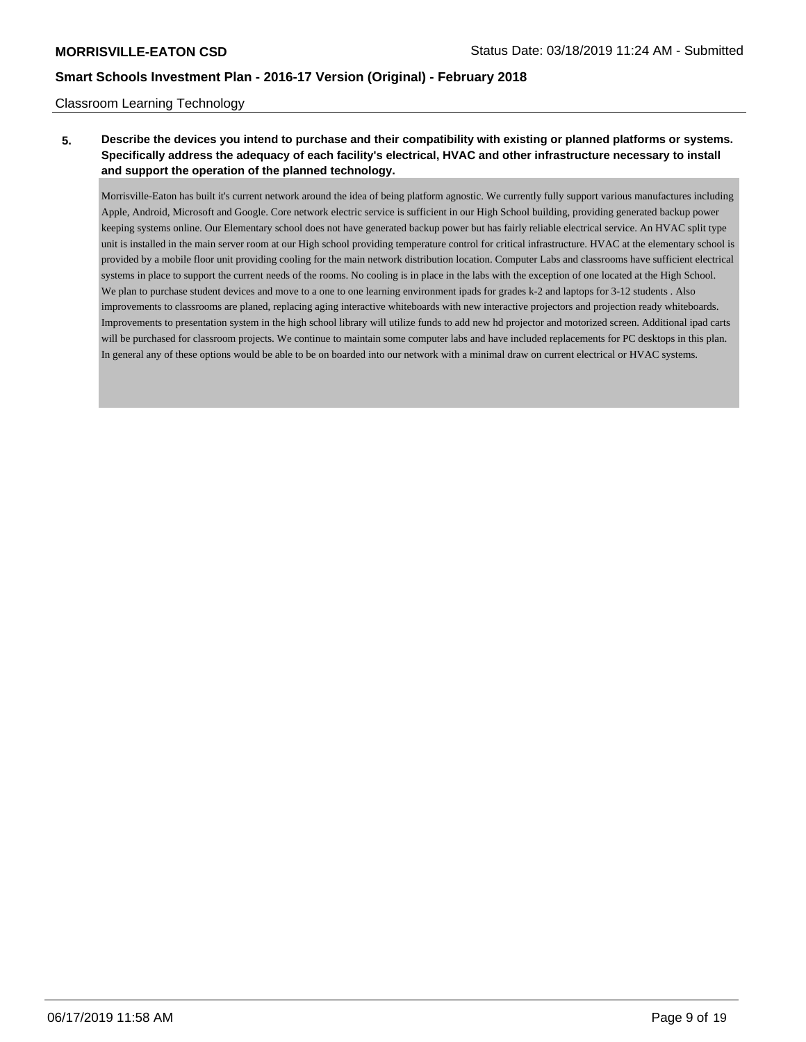### Classroom Learning Technology

## **5. Describe the devices you intend to purchase and their compatibility with existing or planned platforms or systems. Specifically address the adequacy of each facility's electrical, HVAC and other infrastructure necessary to install and support the operation of the planned technology.**

Morrisville-Eaton has built it's current network around the idea of being platform agnostic. We currently fully support various manufactures including Apple, Android, Microsoft and Google. Core network electric service is sufficient in our High School building, providing generated backup power keeping systems online. Our Elementary school does not have generated backup power but has fairly reliable electrical service. An HVAC split type unit is installed in the main server room at our High school providing temperature control for critical infrastructure. HVAC at the elementary school is provided by a mobile floor unit providing cooling for the main network distribution location. Computer Labs and classrooms have sufficient electrical systems in place to support the current needs of the rooms. No cooling is in place in the labs with the exception of one located at the High School. We plan to purchase student devices and move to a one to one learning environment ipads for grades k-2 and laptops for 3-12 students. Also improvements to classrooms are planed, replacing aging interactive whiteboards with new interactive projectors and projection ready whiteboards. Improvements to presentation system in the high school library will utilize funds to add new hd projector and motorized screen. Additional ipad carts will be purchased for classroom projects. We continue to maintain some computer labs and have included replacements for PC desktops in this plan. In general any of these options would be able to be on boarded into our network with a minimal draw on current electrical or HVAC systems.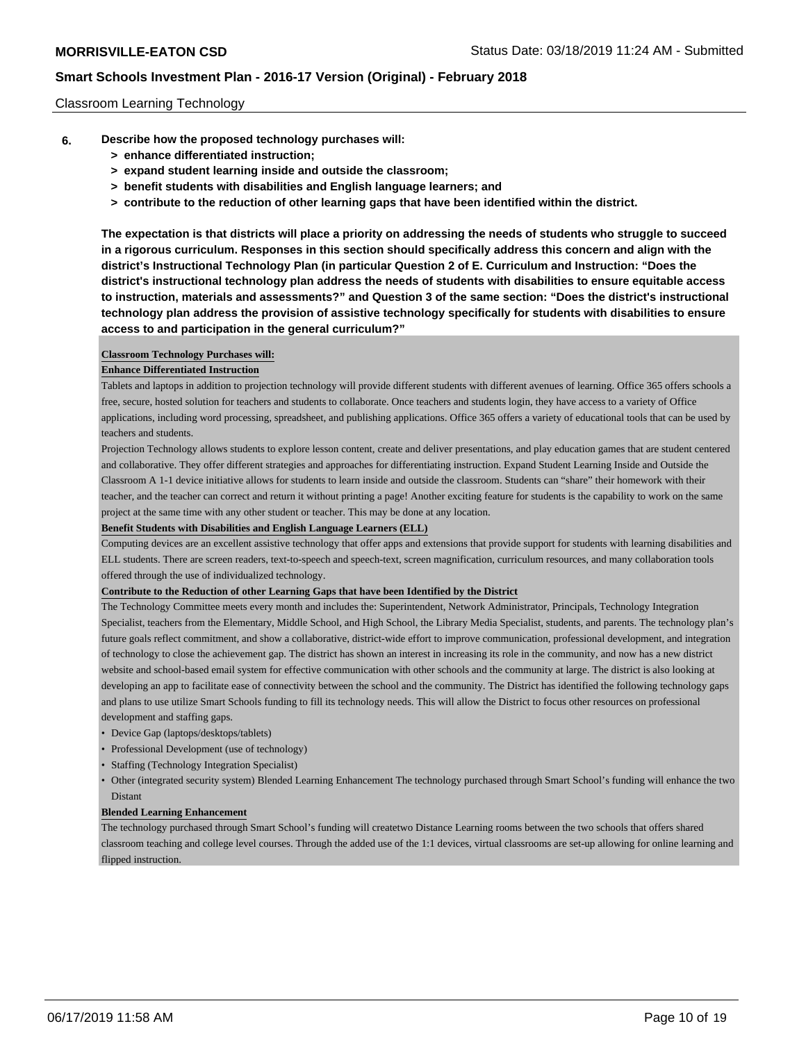### Classroom Learning Technology

- **6. Describe how the proposed technology purchases will:**
	- **> enhance differentiated instruction;**
	- **> expand student learning inside and outside the classroom;**
	- **> benefit students with disabilities and English language learners; and**
	- **> contribute to the reduction of other learning gaps that have been identified within the district.**

**The expectation is that districts will place a priority on addressing the needs of students who struggle to succeed in a rigorous curriculum. Responses in this section should specifically address this concern and align with the district's Instructional Technology Plan (in particular Question 2 of E. Curriculum and Instruction: "Does the district's instructional technology plan address the needs of students with disabilities to ensure equitable access to instruction, materials and assessments?" and Question 3 of the same section: "Does the district's instructional technology plan address the provision of assistive technology specifically for students with disabilities to ensure access to and participation in the general curriculum?"**

#### **Classroom Technology Purchases will:**

#### **Enhance Differentiated Instruction**

Tablets and laptops in addition to projection technology will provide different students with different avenues of learning. Office 365 offers schools a free, secure, hosted solution for teachers and students to collaborate. Once teachers and students login, they have access to a variety of Office applications, including word processing, spreadsheet, and publishing applications. Office 365 offers a variety of educational tools that can be used by teachers and students.

Projection Technology allows students to explore lesson content, create and deliver presentations, and play education games that are student centered and collaborative. They offer different strategies and approaches for differentiating instruction. Expand Student Learning Inside and Outside the Classroom A 1-1 device initiative allows for students to learn inside and outside the classroom. Students can "share" their homework with their teacher, and the teacher can correct and return it without printing a page! Another exciting feature for students is the capability to work on the same project at the same time with any other student or teacher. This may be done at any location.

#### **Benefit Students with Disabilities and English Language Learners (ELL)**

Computing devices are an excellent assistive technology that offer apps and extensions that provide support for students with learning disabilities and ELL students. There are screen readers, text-to-speech and speech-text, screen magnification, curriculum resources, and many collaboration tools offered through the use of individualized technology.

#### **Contribute to the Reduction of other Learning Gaps that have been Identified by the District**

The Technology Committee meets every month and includes the: Superintendent, Network Administrator, Principals, Technology Integration Specialist, teachers from the Elementary, Middle School, and High School, the Library Media Specialist, students, and parents. The technology plan's future goals reflect commitment, and show a collaborative, district-wide effort to improve communication, professional development, and integration of technology to close the achievement gap. The district has shown an interest in increasing its role in the community, and now has a new district website and school-based email system for effective communication with other schools and the community at large. The district is also looking at developing an app to facilitate ease of connectivity between the school and the community. The District has identified the following technology gaps and plans to use utilize Smart Schools funding to fill its technology needs. This will allow the District to focus other resources on professional development and staffing gaps.

- Device Gap (laptops/desktops/tablets)
- Professional Development (use of technology)
- Staffing (Technology Integration Specialist)
- Other (integrated security system) Blended Learning Enhancement The technology purchased through Smart School's funding will enhance the two Distant

#### **Blended Learning Enhancement**

The technology purchased through Smart School's funding will createtwo Distance Learning rooms between the two schools that offers shared classroom teaching and college level courses. Through the added use of the 1:1 devices, virtual classrooms are set-up allowing for online learning and flipped instruction.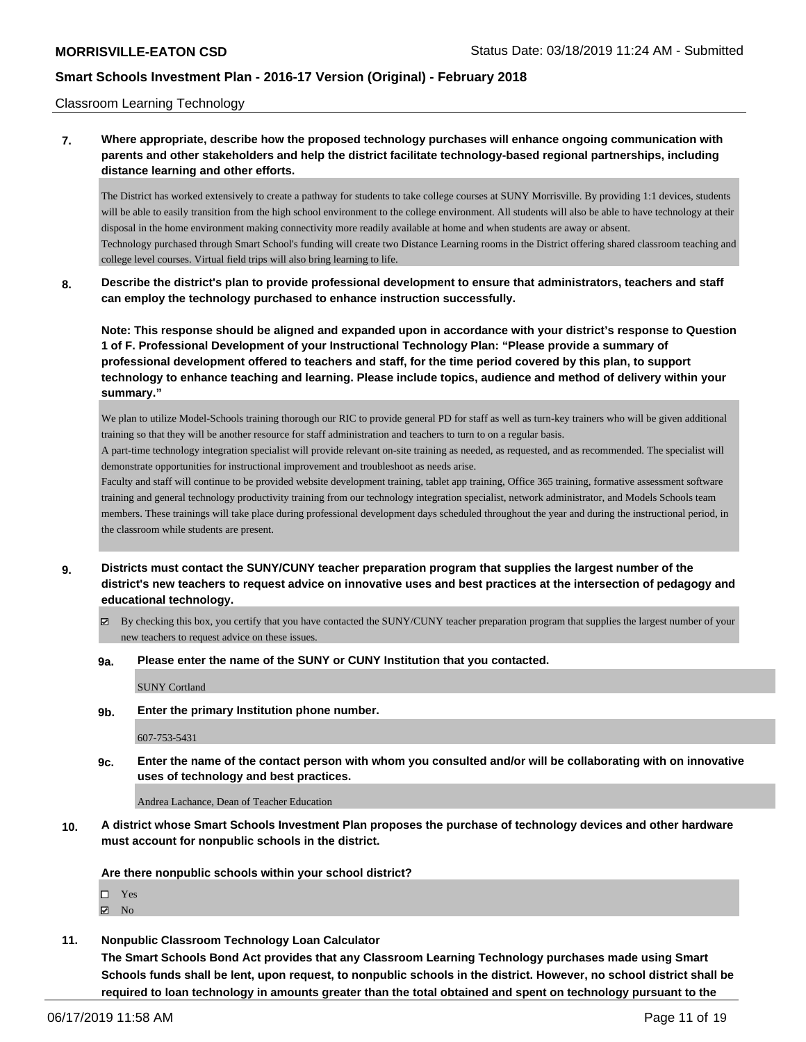Classroom Learning Technology

### **7. Where appropriate, describe how the proposed technology purchases will enhance ongoing communication with parents and other stakeholders and help the district facilitate technology-based regional partnerships, including distance learning and other efforts.**

The District has worked extensively to create a pathway for students to take college courses at SUNY Morrisville. By providing 1:1 devices, students will be able to easily transition from the high school environment to the college environment. All students will also be able to have technology at their disposal in the home environment making connectivity more readily available at home and when students are away or absent. Technology purchased through Smart School's funding will create two Distance Learning rooms in the District offering shared classroom teaching and college level courses. Virtual field trips will also bring learning to life.

**8. Describe the district's plan to provide professional development to ensure that administrators, teachers and staff can employ the technology purchased to enhance instruction successfully.**

**Note: This response should be aligned and expanded upon in accordance with your district's response to Question 1 of F. Professional Development of your Instructional Technology Plan: "Please provide a summary of professional development offered to teachers and staff, for the time period covered by this plan, to support technology to enhance teaching and learning. Please include topics, audience and method of delivery within your summary."**

We plan to utilize Model-Schools training thorough our RIC to provide general PD for staff as well as turn-key trainers who will be given additional training so that they will be another resource for staff administration and teachers to turn to on a regular basis.

A part-time technology integration specialist will provide relevant on-site training as needed, as requested, and as recommended. The specialist will demonstrate opportunities for instructional improvement and troubleshoot as needs arise.

Faculty and staff will continue to be provided website development training, tablet app training, Office 365 training, formative assessment software training and general technology productivity training from our technology integration specialist, network administrator, and Models Schools team members. These trainings will take place during professional development days scheduled throughout the year and during the instructional period, in the classroom while students are present.

- **9. Districts must contact the SUNY/CUNY teacher preparation program that supplies the largest number of the district's new teachers to request advice on innovative uses and best practices at the intersection of pedagogy and educational technology.**
	- $\boxtimes$  By checking this box, you certify that you have contacted the SUNY/CUNY teacher preparation program that supplies the largest number of your new teachers to request advice on these issues.

#### **9a. Please enter the name of the SUNY or CUNY Institution that you contacted.**

SUNY Cortland

**9b. Enter the primary Institution phone number.**

607-753-5431

**9c. Enter the name of the contact person with whom you consulted and/or will be collaborating with on innovative uses of technology and best practices.**

Andrea Lachance, Dean of Teacher Education

**10. A district whose Smart Schools Investment Plan proposes the purchase of technology devices and other hardware must account for nonpublic schools in the district.**

**Are there nonpublic schools within your school district?**

□ Yes

 $\boxtimes$  No

**11. Nonpublic Classroom Technology Loan Calculator**

**The Smart Schools Bond Act provides that any Classroom Learning Technology purchases made using Smart Schools funds shall be lent, upon request, to nonpublic schools in the district. However, no school district shall be required to loan technology in amounts greater than the total obtained and spent on technology pursuant to the**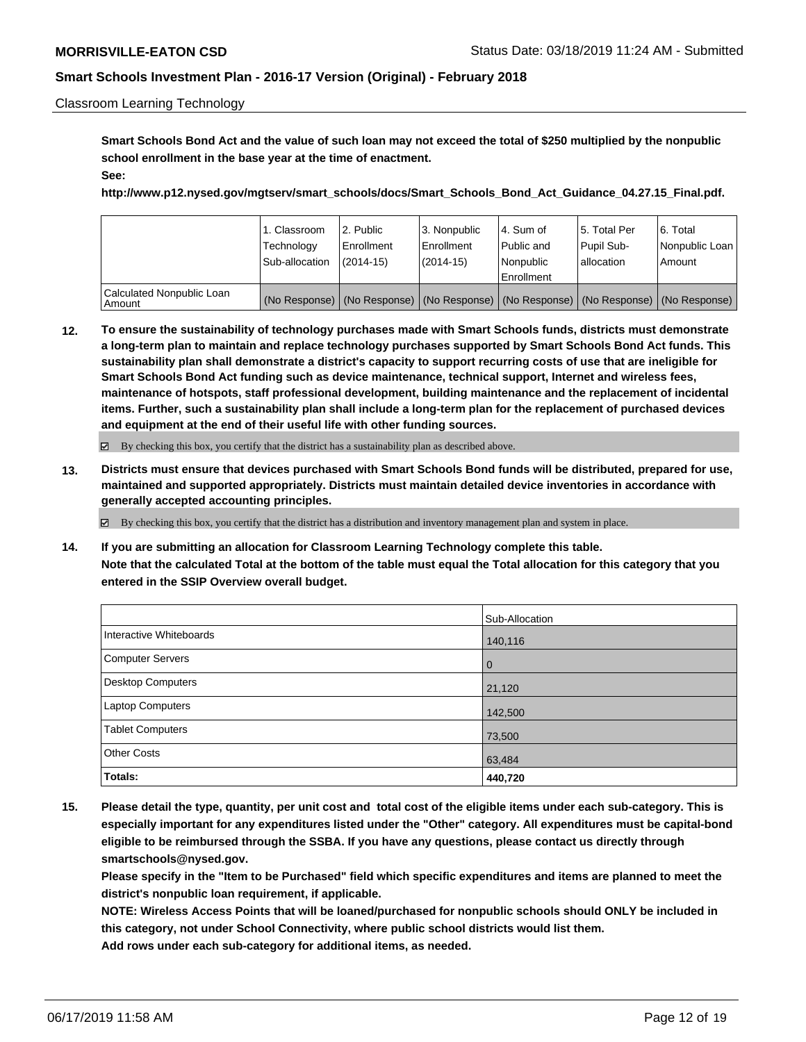### Classroom Learning Technology

**Smart Schools Bond Act and the value of such loan may not exceed the total of \$250 multiplied by the nonpublic school enrollment in the base year at the time of enactment. See:**

**http://www.p12.nysed.gov/mgtserv/smart\_schools/docs/Smart\_Schools\_Bond\_Act\_Guidance\_04.27.15\_Final.pdf.**

|                                       | 1. Classroom<br>Technology<br>Sub-allocation | 2. Public<br>Enrollment<br>$(2014 - 15)$ | 3. Nonpublic<br>l Enrollment<br>$(2014-15)$ | l 4. Sum of<br>Public and<br>l Nonpublic | 15. Total Per<br>Pupil Sub-<br>lallocation | l 6. Total<br>Nonpublic Loan<br>Amount                                                        |
|---------------------------------------|----------------------------------------------|------------------------------------------|---------------------------------------------|------------------------------------------|--------------------------------------------|-----------------------------------------------------------------------------------------------|
|                                       |                                              |                                          |                                             | Enrollment                               |                                            |                                                                                               |
| Calculated Nonpublic Loan<br>  Amount |                                              |                                          |                                             |                                          |                                            | (No Response)   (No Response)   (No Response)   (No Response)   (No Response)   (No Response) |

**12. To ensure the sustainability of technology purchases made with Smart Schools funds, districts must demonstrate a long-term plan to maintain and replace technology purchases supported by Smart Schools Bond Act funds. This sustainability plan shall demonstrate a district's capacity to support recurring costs of use that are ineligible for Smart Schools Bond Act funding such as device maintenance, technical support, Internet and wireless fees, maintenance of hotspots, staff professional development, building maintenance and the replacement of incidental items. Further, such a sustainability plan shall include a long-term plan for the replacement of purchased devices and equipment at the end of their useful life with other funding sources.**

By checking this box, you certify that the district has a sustainability plan as described above.

**13. Districts must ensure that devices purchased with Smart Schools Bond funds will be distributed, prepared for use, maintained and supported appropriately. Districts must maintain detailed device inventories in accordance with generally accepted accounting principles.**

By checking this box, you certify that the district has a distribution and inventory management plan and system in place.

**14. If you are submitting an allocation for Classroom Learning Technology complete this table. Note that the calculated Total at the bottom of the table must equal the Total allocation for this category that you entered in the SSIP Overview overall budget.**

|                          | Sub-Allocation |
|--------------------------|----------------|
| Interactive Whiteboards  | 140,116        |
| <b>Computer Servers</b>  | $\overline{0}$ |
| <b>Desktop Computers</b> | 21,120         |
| Laptop Computers         | 142,500        |
| <b>Tablet Computers</b>  | 73,500         |
| <b>Other Costs</b>       | 63,484         |
| Totals:                  | 440,720        |

**15. Please detail the type, quantity, per unit cost and total cost of the eligible items under each sub-category. This is especially important for any expenditures listed under the "Other" category. All expenditures must be capital-bond eligible to be reimbursed through the SSBA. If you have any questions, please contact us directly through smartschools@nysed.gov.**

**Please specify in the "Item to be Purchased" field which specific expenditures and items are planned to meet the district's nonpublic loan requirement, if applicable.**

**NOTE: Wireless Access Points that will be loaned/purchased for nonpublic schools should ONLY be included in this category, not under School Connectivity, where public school districts would list them. Add rows under each sub-category for additional items, as needed.**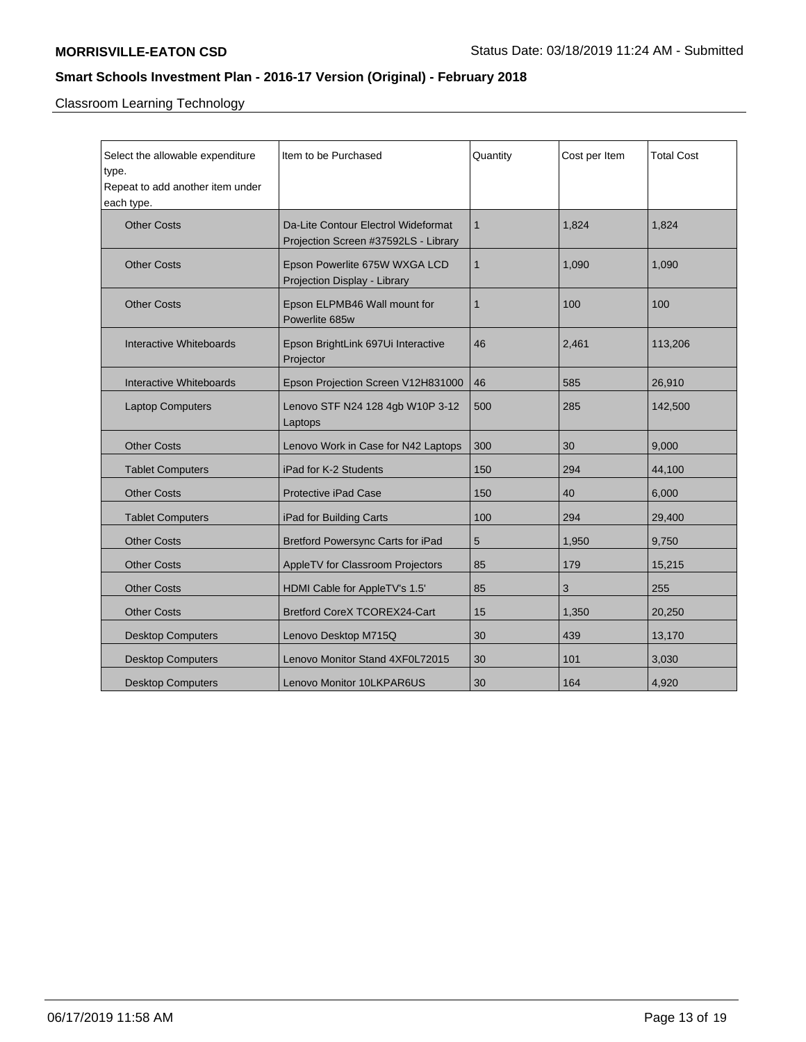Classroom Learning Technology

| Select the allowable expenditure<br>type.<br>Repeat to add another item under<br>each type. | Item to be Purchased                                                        | Quantity     | Cost per Item | <b>Total Cost</b> |
|---------------------------------------------------------------------------------------------|-----------------------------------------------------------------------------|--------------|---------------|-------------------|
| <b>Other Costs</b>                                                                          | Da-Lite Contour Electrol Wideformat<br>Projection Screen #37592LS - Library | $\mathbf{1}$ | 1,824         | 1.824             |
| <b>Other Costs</b>                                                                          | Epson Powerlite 675W WXGA LCD<br>Projection Display - Library               | $\mathbf{1}$ | 1,090         | 1,090             |
| <b>Other Costs</b>                                                                          | Epson ELPMB46 Wall mount for<br>Powerlite 685w                              | $\mathbf{1}$ | 100           | 100               |
| Interactive Whiteboards                                                                     | Epson BrightLink 697Ui Interactive<br>Projector                             | 46           | 2,461         | 113,206           |
| Interactive Whiteboards                                                                     | Epson Projection Screen V12H831000                                          | 46           | 585           | 26,910            |
| <b>Laptop Computers</b>                                                                     | Lenovo STF N24 128 4gb W10P 3-12<br>Laptops                                 | 500          | 285           | 142,500           |
| <b>Other Costs</b>                                                                          | Lenovo Work in Case for N42 Laptops                                         | 300          | 30            | 9,000             |
| <b>Tablet Computers</b>                                                                     | iPad for K-2 Students                                                       | 150          | 294           | 44,100            |
| <b>Other Costs</b>                                                                          | <b>Protective iPad Case</b>                                                 | 150          | 40            | 6,000             |
| <b>Tablet Computers</b>                                                                     | iPad for Building Carts                                                     | 100          | 294           | 29,400            |
| <b>Other Costs</b>                                                                          | <b>Bretford Powersync Carts for iPad</b>                                    | 5            | 1,950         | 9.750             |
| <b>Other Costs</b>                                                                          | AppleTV for Classroom Projectors                                            | 85           | 179           | 15,215            |
| <b>Other Costs</b>                                                                          | HDMI Cable for AppleTV's 1.5'                                               | 85           | 3             | 255               |
| <b>Other Costs</b>                                                                          | Bretford CoreX TCOREX24-Cart                                                | 15           | 1,350         | 20,250            |
| <b>Desktop Computers</b>                                                                    | Lenovo Desktop M715Q                                                        | 30           | 439           | 13,170            |
| <b>Desktop Computers</b>                                                                    | Lenovo Monitor Stand 4XF0L72015                                             | 30           | 101           | 3,030             |
| <b>Desktop Computers</b>                                                                    | <b>Lenovo Monitor 10LKPAR6US</b>                                            | 30           | 164           | 4,920             |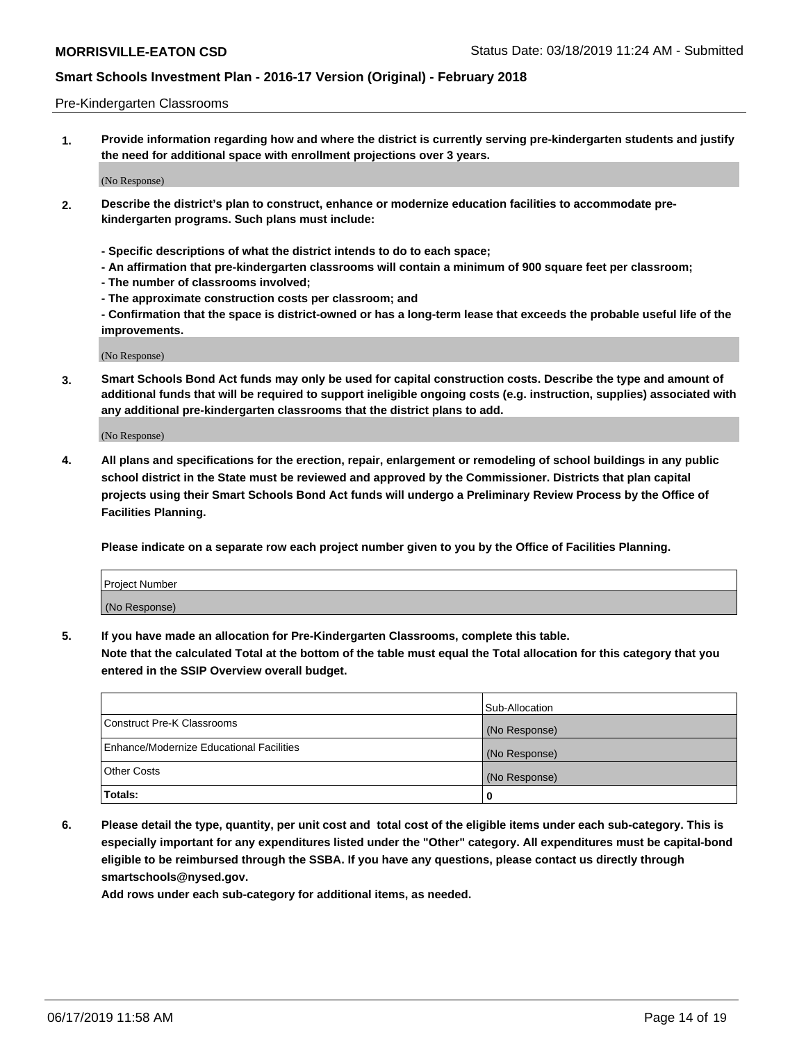### Pre-Kindergarten Classrooms

**1. Provide information regarding how and where the district is currently serving pre-kindergarten students and justify the need for additional space with enrollment projections over 3 years.**

(No Response)

- **2. Describe the district's plan to construct, enhance or modernize education facilities to accommodate prekindergarten programs. Such plans must include:**
	- **Specific descriptions of what the district intends to do to each space;**
	- **An affirmation that pre-kindergarten classrooms will contain a minimum of 900 square feet per classroom;**
	- **The number of classrooms involved;**
	- **The approximate construction costs per classroom; and**
	- **Confirmation that the space is district-owned or has a long-term lease that exceeds the probable useful life of the improvements.**

(No Response)

**3. Smart Schools Bond Act funds may only be used for capital construction costs. Describe the type and amount of additional funds that will be required to support ineligible ongoing costs (e.g. instruction, supplies) associated with any additional pre-kindergarten classrooms that the district plans to add.**

(No Response)

**4. All plans and specifications for the erection, repair, enlargement or remodeling of school buildings in any public school district in the State must be reviewed and approved by the Commissioner. Districts that plan capital projects using their Smart Schools Bond Act funds will undergo a Preliminary Review Process by the Office of Facilities Planning.**

**Please indicate on a separate row each project number given to you by the Office of Facilities Planning.**

| Project Number |  |
|----------------|--|
| (No Response)  |  |
|                |  |

**5. If you have made an allocation for Pre-Kindergarten Classrooms, complete this table.**

**Note that the calculated Total at the bottom of the table must equal the Total allocation for this category that you entered in the SSIP Overview overall budget.**

|                                          | Sub-Allocation |
|------------------------------------------|----------------|
| Construct Pre-K Classrooms               | (No Response)  |
| Enhance/Modernize Educational Facilities | (No Response)  |
| <b>Other Costs</b>                       | (No Response)  |
| Totals:                                  | 0              |

**6. Please detail the type, quantity, per unit cost and total cost of the eligible items under each sub-category. This is especially important for any expenditures listed under the "Other" category. All expenditures must be capital-bond eligible to be reimbursed through the SSBA. If you have any questions, please contact us directly through smartschools@nysed.gov.**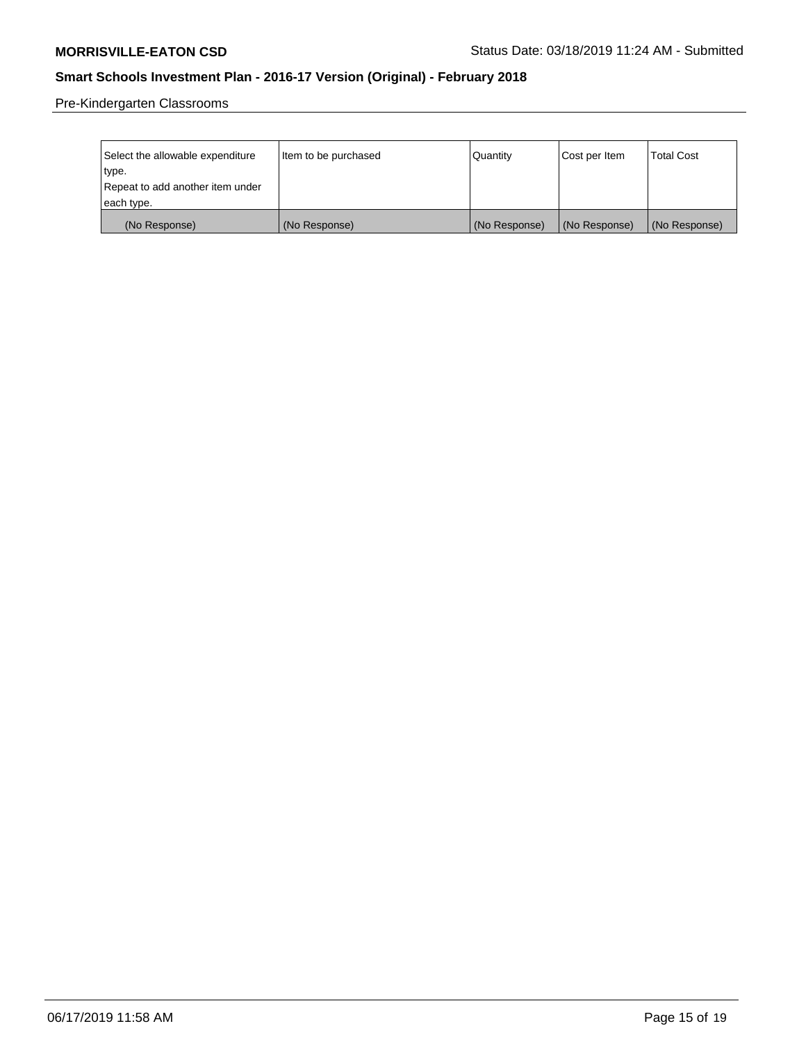Pre-Kindergarten Classrooms

| Select the allowable expenditure<br>type. | Item to be purchased | Quantity      | Cost per Item | <b>Total Cost</b> |
|-------------------------------------------|----------------------|---------------|---------------|-------------------|
| Repeat to add another item under          |                      |               |               |                   |
| each type.                                |                      |               |               |                   |
| (No Response)                             | (No Response)        | (No Response) | (No Response) | (No Response)     |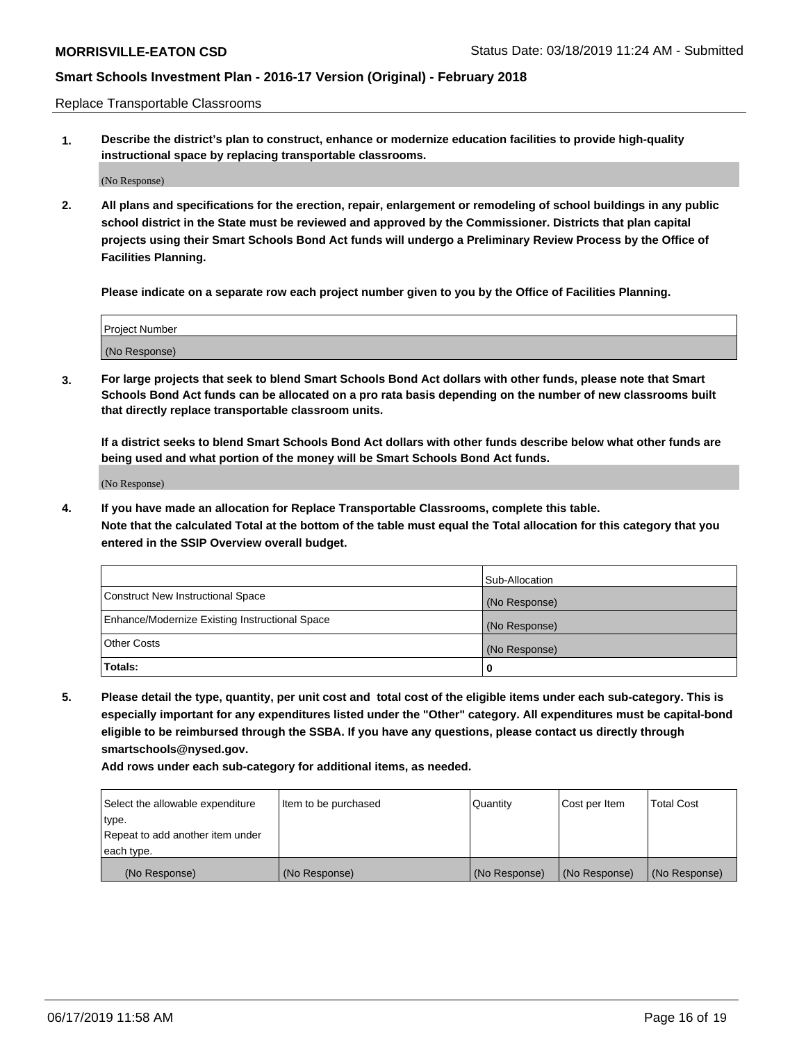Replace Transportable Classrooms

**1. Describe the district's plan to construct, enhance or modernize education facilities to provide high-quality instructional space by replacing transportable classrooms.**

(No Response)

**2. All plans and specifications for the erection, repair, enlargement or remodeling of school buildings in any public school district in the State must be reviewed and approved by the Commissioner. Districts that plan capital projects using their Smart Schools Bond Act funds will undergo a Preliminary Review Process by the Office of Facilities Planning.**

**Please indicate on a separate row each project number given to you by the Office of Facilities Planning.**

| Project Number |  |
|----------------|--|
|                |  |
|                |  |
|                |  |
|                |  |
| (No Response)  |  |
|                |  |
|                |  |
|                |  |

**3. For large projects that seek to blend Smart Schools Bond Act dollars with other funds, please note that Smart Schools Bond Act funds can be allocated on a pro rata basis depending on the number of new classrooms built that directly replace transportable classroom units.**

**If a district seeks to blend Smart Schools Bond Act dollars with other funds describe below what other funds are being used and what portion of the money will be Smart Schools Bond Act funds.**

(No Response)

**4. If you have made an allocation for Replace Transportable Classrooms, complete this table. Note that the calculated Total at the bottom of the table must equal the Total allocation for this category that you entered in the SSIP Overview overall budget.**

|                                                | Sub-Allocation |
|------------------------------------------------|----------------|
| Construct New Instructional Space              | (No Response)  |
| Enhance/Modernize Existing Instructional Space | (No Response)  |
| <b>Other Costs</b>                             | (No Response)  |
| Totals:                                        | 0              |

**5. Please detail the type, quantity, per unit cost and total cost of the eligible items under each sub-category. This is especially important for any expenditures listed under the "Other" category. All expenditures must be capital-bond eligible to be reimbursed through the SSBA. If you have any questions, please contact us directly through smartschools@nysed.gov.**

| Select the allowable expenditure | Item to be purchased | l Quantitv    | Cost per Item | <b>Total Cost</b> |
|----------------------------------|----------------------|---------------|---------------|-------------------|
| type.                            |                      |               |               |                   |
| Repeat to add another item under |                      |               |               |                   |
| each type.                       |                      |               |               |                   |
| (No Response)                    | (No Response)        | (No Response) | (No Response) | (No Response)     |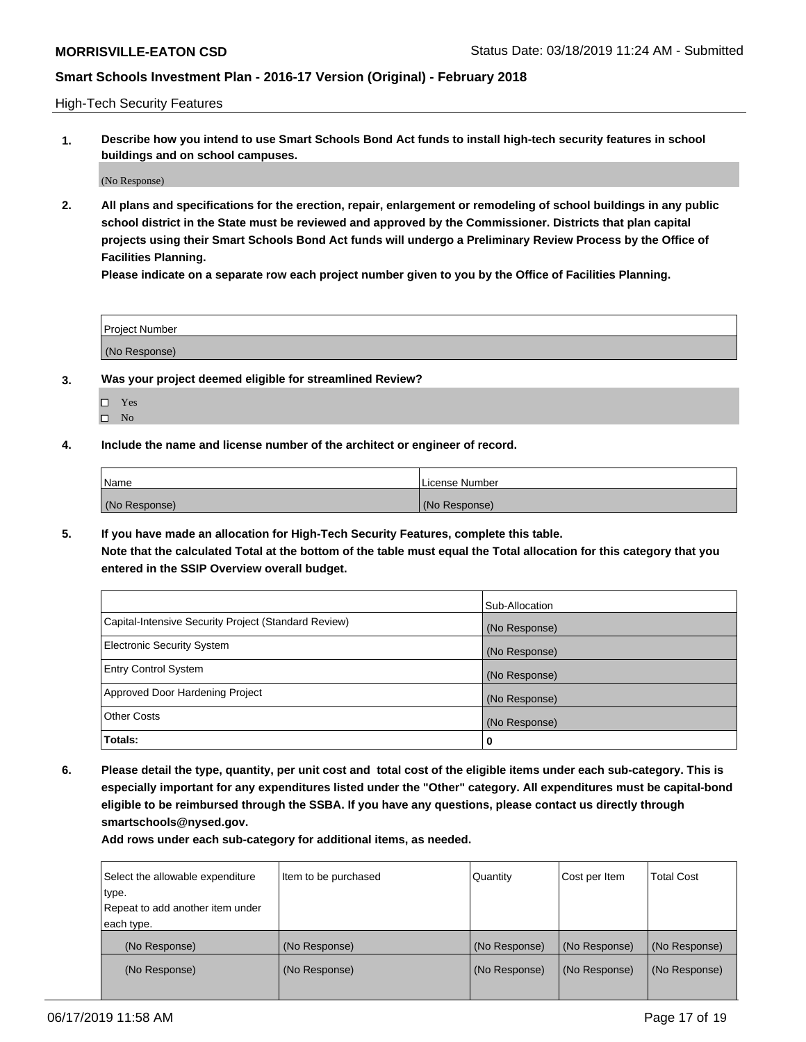High-Tech Security Features

**1. Describe how you intend to use Smart Schools Bond Act funds to install high-tech security features in school buildings and on school campuses.**

(No Response)

**2. All plans and specifications for the erection, repair, enlargement or remodeling of school buildings in any public school district in the State must be reviewed and approved by the Commissioner. Districts that plan capital projects using their Smart Schools Bond Act funds will undergo a Preliminary Review Process by the Office of Facilities Planning.** 

**Please indicate on a separate row each project number given to you by the Office of Facilities Planning.**

| <b>Project Number</b> |  |
|-----------------------|--|
| (No Response)         |  |

- **3. Was your project deemed eligible for streamlined Review?**
	- Yes
	- $\square$  No
- **4. Include the name and license number of the architect or engineer of record.**

| Name          | License Number |
|---------------|----------------|
| (No Response) | (No Response)  |

**5. If you have made an allocation for High-Tech Security Features, complete this table.**

**Note that the calculated Total at the bottom of the table must equal the Total allocation for this category that you entered in the SSIP Overview overall budget.**

|                                                      | Sub-Allocation |
|------------------------------------------------------|----------------|
| Capital-Intensive Security Project (Standard Review) | (No Response)  |
| <b>Electronic Security System</b>                    | (No Response)  |
| <b>Entry Control System</b>                          | (No Response)  |
| Approved Door Hardening Project                      | (No Response)  |
| <b>Other Costs</b>                                   | (No Response)  |
| Totals:                                              | 0              |

**6. Please detail the type, quantity, per unit cost and total cost of the eligible items under each sub-category. This is especially important for any expenditures listed under the "Other" category. All expenditures must be capital-bond eligible to be reimbursed through the SSBA. If you have any questions, please contact us directly through smartschools@nysed.gov.**

| Item to be purchased | Quantity      | Cost per Item | <b>Total Cost</b> |
|----------------------|---------------|---------------|-------------------|
|                      |               |               |                   |
|                      |               |               |                   |
|                      |               |               |                   |
| (No Response)        | (No Response) | (No Response) | (No Response)     |
| (No Response)        | (No Response) | (No Response) | (No Response)     |
|                      |               |               |                   |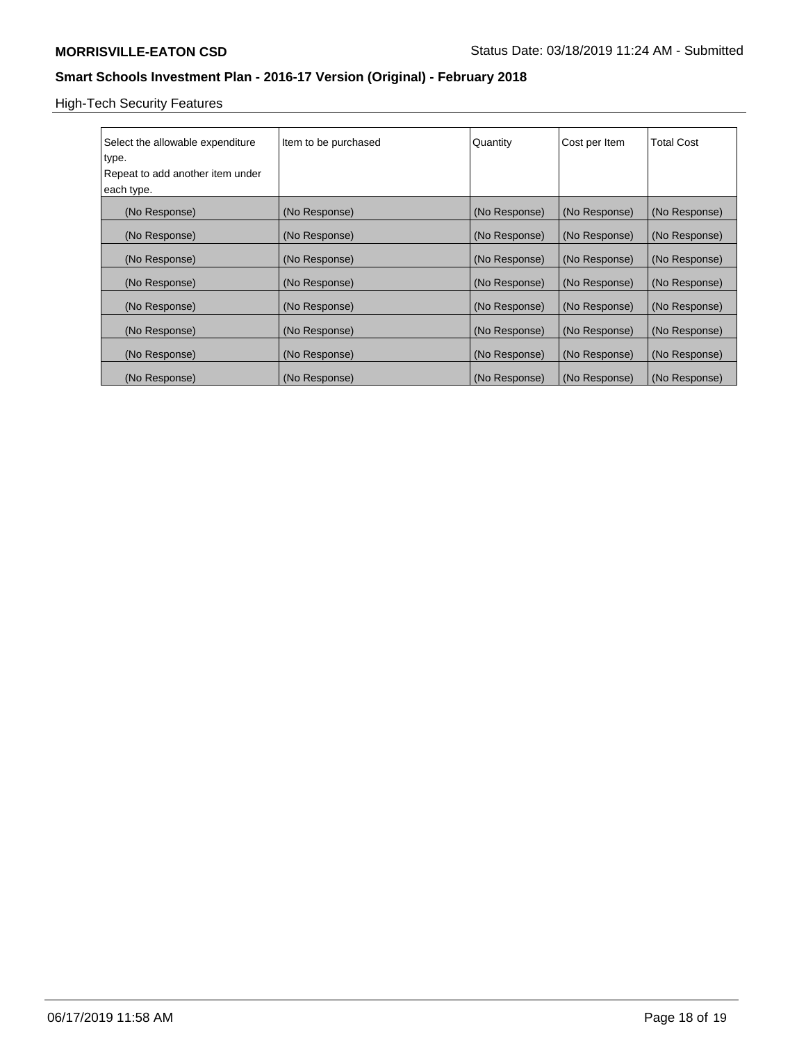High-Tech Security Features

| Select the allowable expenditure<br>type.<br>Repeat to add another item under<br>each type. | Item to be purchased | Quantity      | Cost per Item | <b>Total Cost</b> |
|---------------------------------------------------------------------------------------------|----------------------|---------------|---------------|-------------------|
| (No Response)                                                                               | (No Response)        | (No Response) | (No Response) | (No Response)     |
| (No Response)                                                                               | (No Response)        | (No Response) | (No Response) | (No Response)     |
| (No Response)                                                                               | (No Response)        | (No Response) | (No Response) | (No Response)     |
| (No Response)                                                                               | (No Response)        | (No Response) | (No Response) | (No Response)     |
| (No Response)                                                                               | (No Response)        | (No Response) | (No Response) | (No Response)     |
| (No Response)                                                                               | (No Response)        | (No Response) | (No Response) | (No Response)     |
| (No Response)                                                                               | (No Response)        | (No Response) | (No Response) | (No Response)     |
| (No Response)                                                                               | (No Response)        | (No Response) | (No Response) | (No Response)     |